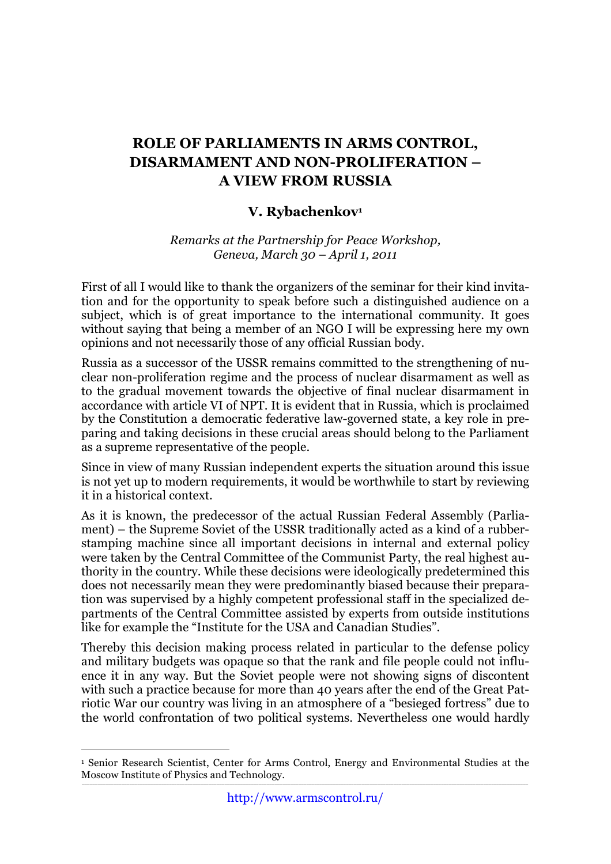## **ROLE OF PARLIAMENTS IN ARMS CONTROL, DISARMAMENT AND NON-PROLIFERATION – A VIEW FROM RUSSIA**

## **V. Rybachenkov1**

*Remarks at the Partnership for Peace Workshop, Geneva, March 30 – April 1, 2011*

First of all I would like to thank the organizers of the seminar for their kind invitation and for the opportunity to speak before such a distinguished audience on a subject, which is of great importance to the international community. It goes without saying that being a member of an NGO I will be expressing here my own opinions and not necessarily those of any official Russian body.

Russia as a successor of the USSR remains committed to the strengthening of nuclear non-proliferation regime and the process of nuclear disarmament as well as to the gradual movement towards the objective of final nuclear disarmament in accordance with article VI of NPT. It is evident that in Russia, which is proclaimed by the Constitution a democratic federative law-governed state, a key role in preparing and taking decisions in these crucial areas should belong to the Parliament as a supreme representative of the people.

Since in view of many Russian independent experts the situation around this issue is not yet up to modern requirements, it would be worthwhile to start by reviewing it in a historical context.

As it is known, the predecessor of the actual Russian Federal Assembly (Parliament) – the Supreme Soviet of the USSR traditionally acted as a kind of a rubberstamping machine since all important decisions in internal and external policy were taken by the Central Committee of the Communist Party, the real highest authority in the country. While these decisions were ideologically predetermined this does not necessarily mean they were predominantly biased because their preparation was supervised by a highly competent professional staff in the specialized departments of the Central Committee assisted by experts from outside institutions like for example the "Institute for the USA and Canadian Studies".

Thereby this decision making process related in particular to the defense policy and military budgets was opaque so that the rank and file people could not influence it in any way. But the Soviet people were not showing signs of discontent with such a practice because for more than 40 years after the end of the Great Patriotic War our country was living in an atmosphere of a "besieged fortress" due to the world confrontation of two political systems. Nevertheless one would hardly

\_\_\_\_\_\_\_\_\_\_\_\_\_\_\_\_\_\_\_\_\_\_\_\_\_\_\_\_\_\_\_\_\_\_\_\_\_\_\_\_\_\_\_\_\_\_\_\_\_\_\_\_\_\_\_\_\_\_\_\_\_\_\_\_\_\_\_\_\_\_\_\_\_\_\_\_\_\_\_\_\_\_\_\_\_\_\_\_\_\_\_\_\_\_\_\_\_\_\_\_\_\_\_\_\_\_\_\_\_\_\_\_\_\_\_\_\_\_\_\_\_\_\_\_\_\_\_\_\_\_\_\_\_\_\_\_\_\_\_\_\_\_\_\_\_\_\_\_\_\_\_\_\_\_\_\_\_\_\_\_\_\_\_\_\_\_\_\_\_ 1 Senior Research Scientist, Center for Arms Control, Energy and Environmental Studies at the Moscow Institute of Physics and Technology.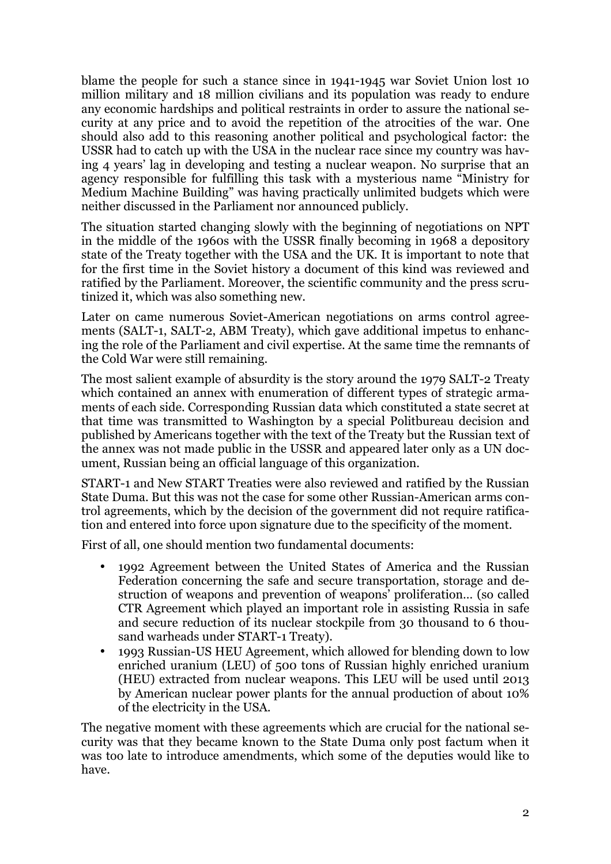blame the people for such a stance since in 1941-1945 war Soviet Union lost 10 million military and 18 million civilians and its population was ready to endure any economic hardships and political restraints in order to assure the national security at any price and to avoid the repetition of the atrocities of the war. One should also add to this reasoning another political and psychological factor: the USSR had to catch up with the USA in the nuclear race since my country was having 4 years' lag in developing and testing a nuclear weapon. No surprise that an agency responsible for fulfilling this task with a mysterious name "Ministry for Medium Machine Building" was having practically unlimited budgets which were neither discussed in the Parliament nor announced publicly.

The situation started changing slowly with the beginning of negotiations on NPT in the middle of the 1960s with the USSR finally becoming in 1968 a depository state of the Treaty together with the USA and the UK. It is important to note that for the first time in the Soviet history a document of this kind was reviewed and ratified by the Parliament. Moreover, the scientific community and the press scrutinized it, which was also something new.

Later on came numerous Soviet-American negotiations on arms control agreements (SALT-1, SALT-2, ABM Treaty), which gave additional impetus to enhancing the role of the Parliament and civil expertise. At the same time the remnants of the Cold War were still remaining.

The most salient example of absurdity is the story around the 1979 SALT-2 Treaty which contained an annex with enumeration of different types of strategic armaments of each side. Corresponding Russian data which constituted a state secret at that time was transmitted to Washington by a special Politbureau decision and published by Americans together with the text of the Treaty but the Russian text of the annex was not made public in the USSR and appeared later only as a UN document, Russian being an official language of this organization.

START-1 and New START Treaties were also reviewed and ratified by the Russian State Duma. But this was not the case for some other Russian-American arms control agreements, which by the decision of the government did not require ratification and entered into force upon signature due to the specificity of the moment.

First of all, one should mention two fundamental documents:

- 1992 Agreement between the United States of America and the Russian Federation concerning the safe and secure transportation, storage and destruction of weapons and prevention of weapons' proliferation… (so called CTR Agreement which played an important role in assisting Russia in safe and secure reduction of its nuclear stockpile from 30 thousand to 6 thousand warheads under START-1 Treaty).
- 1993 Russian-US HEU Agreement, which allowed for blending down to low enriched uranium (LEU) of 500 tons of Russian highly enriched uranium (HEU) extracted from nuclear weapons. This LEU will be used until 2013 by American nuclear power plants for the annual production of about 10% of the electricity in the USA.

The negative moment with these agreements which are crucial for the national security was that they became known to the State Duma only post factum when it was too late to introduce amendments, which some of the deputies would like to have.